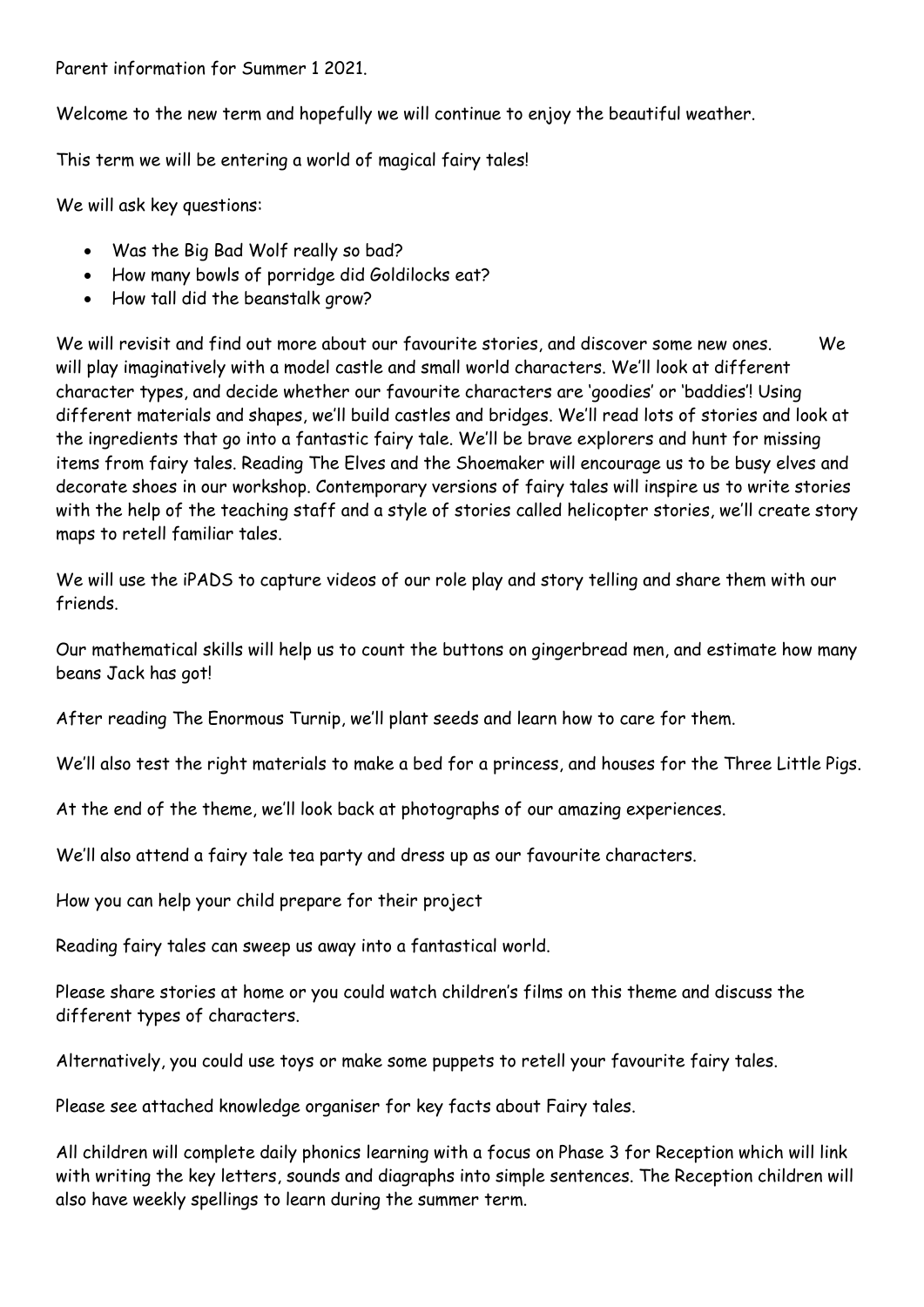Parent information for Summer 1 2021.

Welcome to the new term and hopefully we will continue to enjoy the beautiful weather.

This term we will be entering a world of magical fairy tales!

We will ask key questions:

- Was the Big Bad Wolf really so bad?
- How many bowls of porridge did Goldilocks eat?
- How tall did the beanstalk grow?

We will revisit and find out more about our favourite stories, and discover some new ones. We will play imaginatively with a model castle and small world characters. We'll look at different character types, and decide whether our favourite characters are 'goodies' or 'baddies'! Using different materials and shapes, we'll build castles and bridges. We'll read lots of stories and look at the ingredients that go into a fantastic fairy tale. We'll be brave explorers and hunt for missing items from fairy tales. Reading The Elves and the Shoemaker will encourage us to be busy elves and decorate shoes in our workshop. Contemporary versions of fairy tales will inspire us to write stories with the help of the teaching staff and a style of stories called helicopter stories, we'll create story maps to retell familiar tales.

We will use the iPADS to capture videos of our role play and story telling and share them with our friends.

Our mathematical skills will help us to count the buttons on gingerbread men, and estimate how many beans Jack has got!

After reading The Enormous Turnip, we'll plant seeds and learn how to care for them.

We'll also test the right materials to make a bed for a princess, and houses for the Three Little Pigs.

At the end of the theme, we'll look back at photographs of our amazing experiences.

We'll also attend a fairy tale tea party and dress up as our favourite characters.

How you can help your child prepare for their project

Reading fairy tales can sweep us away into a fantastical world.

Please share stories at home or you could watch children's films on this theme and discuss the different types of characters.

Alternatively, you could use toys or make some puppets to retell your favourite fairy tales.

Please see attached knowledge organiser for key facts about Fairy tales.

All children will complete daily phonics learning with a focus on Phase 3 for Reception which will link with writing the key letters, sounds and diagraphs into simple sentences. The Reception children will also have weekly spellings to learn during the summer term.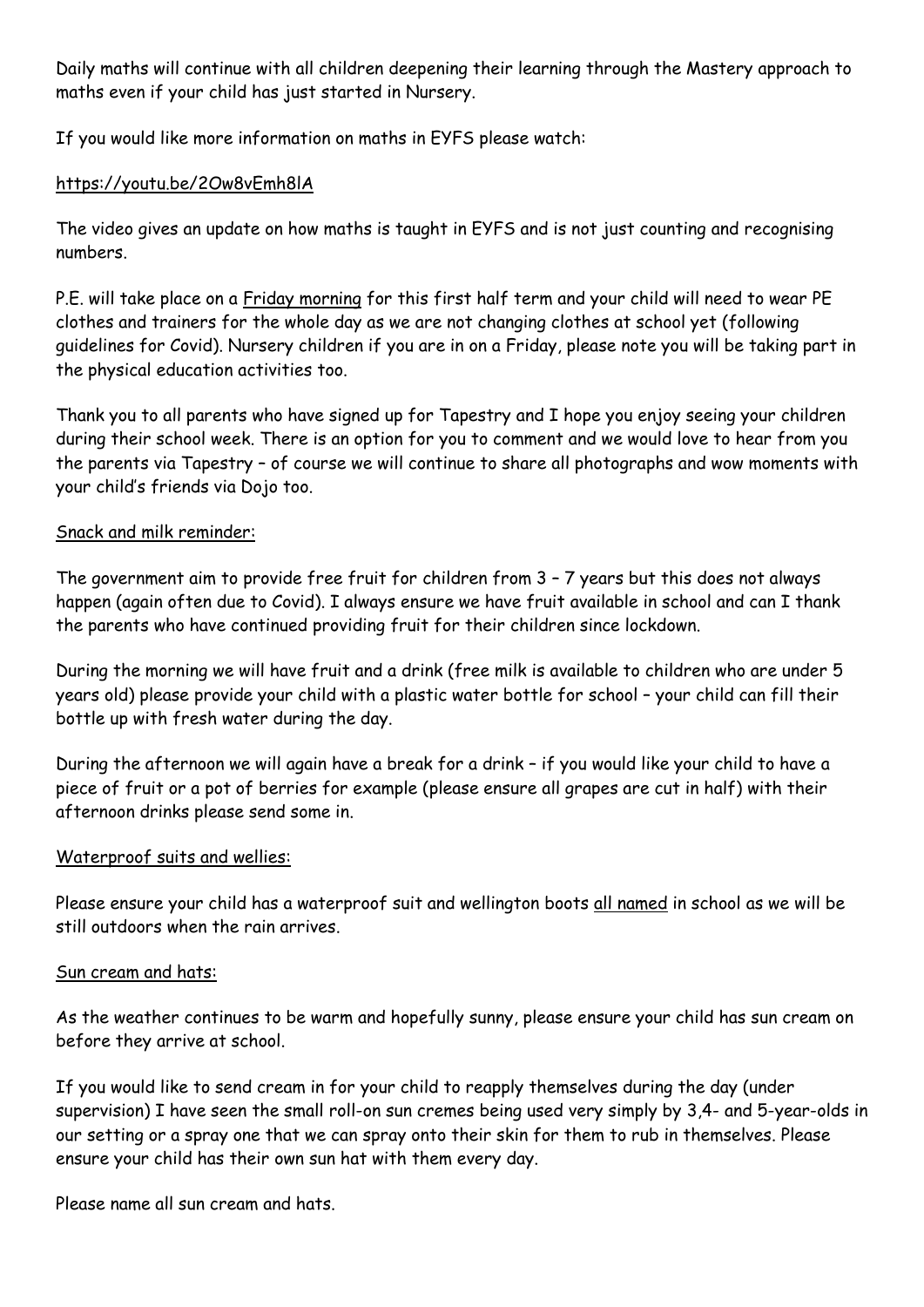Daily maths will continue with all children deepening their learning through the Mastery approach to maths even if your child has just started in Nursery.

If you would like more information on maths in EYFS please watch:

## https://youtu.be/2Ow8vEmh8lA

The video gives an update on how maths is taught in EYFS and is not just counting and recognising numbers.

P.E. will take place on a Friday morning for this first half term and your child will need to wear PE clothes and trainers for the whole day as we are not changing clothes at school yet (following guidelines for Covid). Nursery children if you are in on a Friday, please note you will be taking part in the physical education activities too.

Thank you to all parents who have signed up for Tapestry and I hope you enjoy seeing your children during their school week. There is an option for you to comment and we would love to hear from you the parents via Tapestry – of course we will continue to share all photographs and wow moments with your child's friends via Dojo too.

## Snack and milk reminder:

The government aim to provide free fruit for children from 3 – 7 years but this does not always happen (again often due to Covid). I always ensure we have fruit available in school and can I thank the parents who have continued providing fruit for their children since lockdown.

During the morning we will have fruit and a drink (free milk is available to children who are under 5 years old) please provide your child with a plastic water bottle for school – your child can fill their bottle up with fresh water during the day.

During the afternoon we will again have a break for a drink – if you would like your child to have a piece of fruit or a pot of berries for example (please ensure all grapes are cut in half) with their afternoon drinks please send some in.

## Waterproof suits and wellies:

Please ensure your child has a waterproof suit and wellington boots all named in school as we will be still outdoors when the rain arrives.

## Sun cream and hats:

As the weather continues to be warm and hopefully sunny, please ensure your child has sun cream on before they arrive at school.

If you would like to send cream in for your child to reapply themselves during the day (under supervision) I have seen the small roll-on sun cremes being used very simply by 3,4- and 5-year-olds in our setting or a spray one that we can spray onto their skin for them to rub in themselves. Please ensure your child has their own sun hat with them every day.

Please name all sun cream and hats.